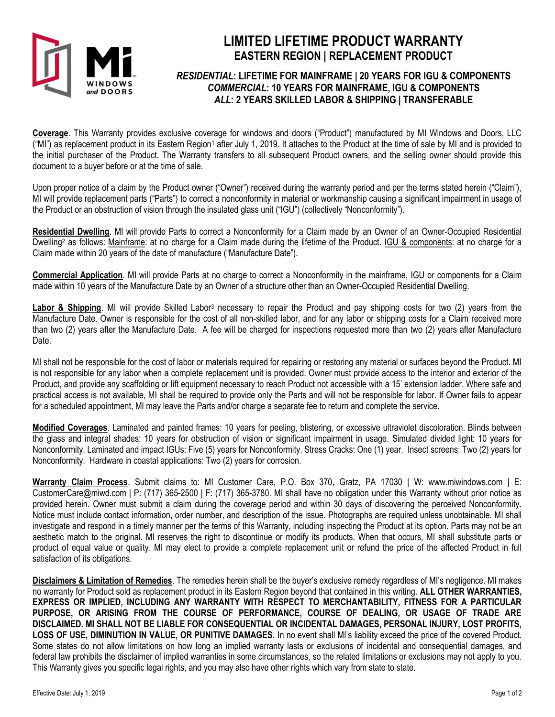

## LIMITED LIFETIME PRODUCT WARRANTY EASTERN REGION | REPLACEMENT PRODUCT

## RESIDENTIAL: LIFETIME FOR MAINFRAME | 20 YEARS FOR IGU & COMPONENTS COMMERCIAL: 10 YEARS FOR MAINFRAME, IGU & COMPONENTS ALL: 2 YEARS SKILLED LABOR & SHIPPING | TRANSFERABLE

Coverage. This Warranty provides exclusive coverage for windows and doors ("Product") manufactured by MI Windows and Doors, LLC ("MI") as replacement product in its Eastern Region1 after July 1, 2019. It attaches to the Product at the time of sale by MI and is provided to the initial purchaser of the Product. The Warranty transfers to all subsequent Product owners, and the selling owner should provide this document to a buyer before or at the time of sale.

Upon proper notice of a claim by the Product owner ("Owner") received during the warranty period and per the terms stated herein ("Claim"), MI will provide replacement parts ("Parts") to correct a nonconformity in material or workmanship causing a significant impairment in usage of the Product or an obstruction of vision through the insulated glass unit ("IGU") (collectively "Nonconformity").

Residential Dwelling. MI will provide Parts to correct a Nonconformity for a Claim made by an Owner of an Owner-Occupied Residential Dwelling<sup>2</sup> as follows: Mainframe: at no charge for a Claim made during the lifetime of the Product. IGU & components: at no charge for a Claim made within 20 years of the date of manufacture ("Manufacture Date").

Commercial Application. MI will provide Parts at no charge to correct a Nonconformity in the mainframe, IGU or components for a Claim made within 10 years of the Manufacture Date by an Owner of a structure other than an Owner-Occupied Residential Dwelling.

Labor & Shipping. MI will provide Skilled Labor<sup>3</sup> necessary to repair the Product and pay shipping costs for two (2) years from the Manufacture Date. Owner is responsible for the cost of all non-skilled labor, and for any labor or shipping costs for a Claim received more than two (2) years after the Manufacture Date. A fee will be charged for inspections requested more than two (2) years after Manufacture Date.

MI shall not be responsible for the cost of labor or materials required for repairing or restoring any material or surfaces beyond the Product. MI is not responsible for any labor when a complete replacement unit is provided. Owner must provide access to the interior and exterior of the Product, and provide any scaffolding or lift equipment necessary to reach Product not accessible with a 15' extension ladder. Where safe and practical access is not available, MI shall be required to provide only the Parts and will not be responsible for labor. If Owner fails to appear for a scheduled appointment, MI may leave the Parts and/or charge a separate fee to return and complete the service.

Modified Coverages. Laminated and painted frames: 10 years for peeling, blistering, or excessive ultraviolet discoloration. Blinds between the glass and integral shades: 10 years for obstruction of vision or significant impairment in usage. Simulated divided light: 10 years for Nonconformity. Laminated and impact IGUs: Five (5) years for Nonconformity. Stress Cracks: One (1) year. Insect screens: Two (2) years for Nonconformity. Hardware in coastal applications: Two (2) years for corrosion.

Warranty Claim Process. Submit claims to: MI Customer Care, P.O. Box 370, Gratz, PA 17030 | W: www.miwindows.com | E: CustomerCare@miwd.com | P: (717) 365-2500 | F: (717) 365-3780. MI shall have no obligation under this Warranty without prior notice as provided herein. Owner must submit a claim during the coverage period and within 30 days of discovering the perceived Nonconformity. Notice must include contact information, order number, and description of the issue. Photographs are required unless unobtainable. MI shall investigate and respond in a timely manner per the terms of this Warranty, including inspecting the Product at its option. Parts may not be an aesthetic match to the original. MI reserves the right to discontinue or modify its products. When that occurs, MI shall substitute parts or product of equal value or quality. MI may elect to provide a complete replacement unit or refund the price of the affected Product in full satisfaction of its obligations.

Disclaimers & Limitation of Remedies. The remedies herein shall be the buyer's exclusive remedy regardless of MI's negligence. MI makes no warranty for Product sold as replacement product in its Eastern Region beyond that contained in this writing. ALL OTHER WARRANTIES, EXPRESS OR IMPLIED, INCLUDING ANY WARRANTY WITH RESPECT TO MERCHANTABILITY, FITNESS FOR A PARTICULAR PURPOSE, OR ARISING FROM THE COURSE OF PERFORMANCE, COURSE OF DEALING, OR USAGE OF TRADE ARE DISCLAIMED. MI SHALL NOT BE LIABLE FOR CONSEQUENTIAL OR INCIDENTAL DAMAGES, PERSONAL INJURY, LOST PROFITS, LOSS OF USE, DIMINUTION IN VALUE, OR PUNITIVE DAMAGES. In no event shall MI's liability exceed the price of the covered Product. Some states do not allow limitations on how long an implied warranty lasts or exclusions of incidental and consequential damages, and federal law prohibits the disclaimer of implied warranties in some circumstances, so the related limitations or exclusions may not apply to you. This Warranty gives you specific legal rights, and you may also have other rights which vary from state to state.